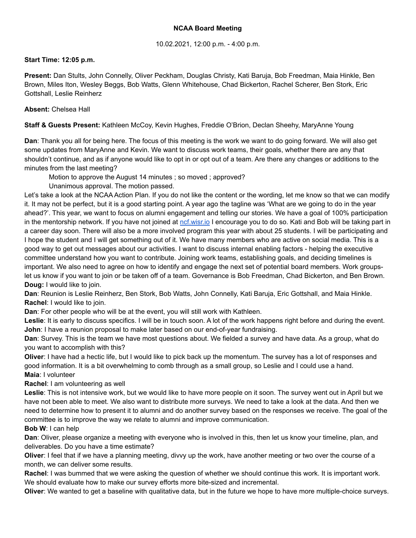# **NCAA Board Meeting**

# 10.02.2021, 12:00 p.m. - 4:00 p.m.

# **Start Time: 12:05 p.m.**

**Present:** Dan Stults, John Connelly, Oliver Peckham, Douglas Christy, Kati Baruja, Bob Freedman, Maia Hinkle, Ben Brown, Miles Iton, Wesley Beggs, Bob Watts, Glenn Whitehouse, Chad Bickerton, Rachel Scherer, Ben Stork, Eric Gottshall, Leslie Reinherz

# **Absent:** Chelsea Hall

**Staff & Guests Present:** Kathleen McCoy, Kevin Hughes, Freddie O'Brion, Declan Sheehy, MaryAnne Young

**Dan**: Thank you all for being here. The focus of this meeting is the work we want to do going forward. We will also get some updates from MaryAnne and Kevin. We want to discuss work teams, their goals, whether there are any that shouldn't continue, and as if anyone would like to opt in or opt out of a team. Are there any changes or additions to the minutes from the last meeting?

Motion to approve the August 14 minutes ; so moved ; approved?

Unanimous approval. The motion passed.

Let's take a look at the NCAA Action Plan. If you do not like the content or the wording, let me know so that we can modify it. It may not be perfect, but it is a good starting point. A year ago the tagline was 'What are we going to do in the year ahead?'. This year, we want to focus on alumni engagement and telling our stories. We have a goal of 100% participation in the mentorship network. If you have not joined at [ncf.wisr.io](https://ncf.wisr.io/) I encourage you to do so. Kati and Bob will be taking part in a career day soon. There will also be a more involved program this year with about 25 students. I will be participating and I hope the student and I will get something out of it. We have many members who are active on social media. This is a good way to get out messages about our activities. I want to discuss internal enabling factors - helping the executive committee understand how you want to contribute. Joining work teams, establishing goals, and deciding timelines is important. We also need to agree on how to identify and engage the next set of potential board members. Work groupslet us know if you want to join or be taken off of a team. Governance is Bob Freedman, Chad Bickerton, and Ben Brown. **Doug:** I would like to join.

**Dan**: Reunion is Leslie Reinherz, Ben Stork, Bob Watts, John Connelly, Kati Baruja, Eric Gottshall, and Maia Hinkle. **Rachel**: I would like to join.

**Dan**: For other people who will be at the event, you will still work with Kathleen.

Leslie: It is early to discuss specifics. I will be in touch soon. A lot of the work happens right before and during the event. **John**: I have a reunion proposal to make later based on our end-of-year fundraising.

**Dan**: Survey. This is the team we have most questions about. We fielded a survey and have data. As a group, what do you want to accomplish with this?

**Oliver**: I have had a hectic life, but I would like to pick back up the momentum. The survey has a lot of responses and good information. It is a bit overwhelming to comb through as a small group, so Leslie and I could use a hand. **Maia**: I volunteer

**Rachel**: I am volunteering as well

**Leslie**: This is not intensive work, but we would like to have more people on it soon. The survey went out in April but we have not been able to meet. We also want to distribute more surveys. We need to take a look at the data. And then we need to determine how to present it to alumni and do another survey based on the responses we receive. The goal of the committee is to improve the way we relate to alumni and improve communication.

## **Bob W**: I can help

**Dan**: Oliver, please organize a meeting with everyone who is involved in this, then let us know your timeline, plan, and deliverables. Do you have a time estimate?

**Oliver**: I feel that if we have a planning meeting, divvy up the work, have another meeting or two over the course of a month, we can deliver some results.

**Rachel**: I was bummed that we were asking the question of whether we should continue this work. It is important work. We should evaluate how to make our survey efforts more bite-sized and incremental.

**Oliver**: We wanted to get a baseline with qualitative data, but in the future we hope to have more multiple-choice surveys.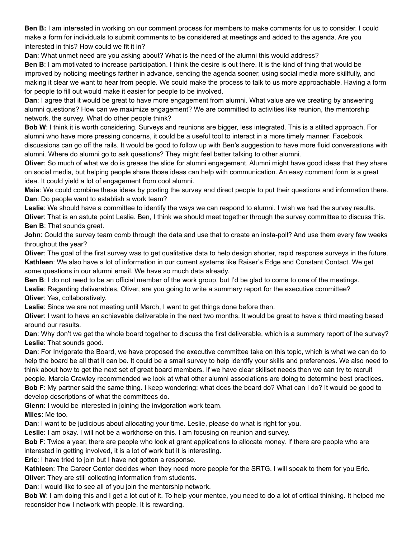**Ben B:** I am interested in working on our comment process for members to make comments for us to consider. I could make a form for individuals to submit comments to be considered at meetings and added to the agenda. Are you interested in this? How could we fit it in?

**Dan**: What unmet need are you asking about? What is the need of the alumni this would address?

**Ben B**: I am motivated to increase participation. I think the desire is out there. It is the kind of thing that would be improved by noticing meetings farther in advance, sending the agenda sooner, using social media more skillfully, and making it clear we want to hear from people. We could make the process to talk to us more approachable. Having a form for people to fill out would make it easier for people to be involved.

**Dan**: I agree that it would be great to have more engagement from alumni. What value are we creating by answering alumni questions? How can we maximize engagement? We are committed to activities like reunion, the mentorship network, the survey. What do other people think?

**Bob W**: I think it is worth considering. Surveys and reunions are bigger, less integrated. This is a stilted approach. For alumni who have more pressing concerns, it could be a useful tool to interact in a more timely manner. Facebook discussions can go off the rails. It would be good to follow up with Ben's suggestion to have more fluid conversations with alumni. Where do alumni go to ask questions? They might feel better talking to other alumni.

**Oliver**: So much of what we do is grease the slide for alumni engagement. Alumni might have good ideas that they share on social media, but helping people share those ideas can help with communication. An easy comment form is a great idea. It could yield a lot of engagement from cool alumni.

**Maia**: We could combine these ideas by posting the survey and direct people to put their questions and information there. **Dan**: Do people want to establish a work team?

Leslie: We should have a committee to identify the ways we can respond to alumni. I wish we had the survey results.

**Oliver**: That is an astute point Leslie. Ben, I think we should meet together through the survey committee to discuss this. **Ben B**: That sounds great.

**John**: Could the survey team comb through the data and use that to create an insta-poll? And use them every few weeks throughout the year?

**Oliver**: The goal of the first survey was to get qualitative data to help design shorter, rapid response surveys in the future. **Kathleen**: We also have a lot of information in our current systems like Raiser's Edge and Constant Contact. We get some questions in our alumni email. We have so much data already.

**Ben B**: I do not need to be an official member of the work group, but I'd be glad to come to one of the meetings.

**Leslie**: Regarding deliverables, Oliver, are you going to write a summary report for the executive committee? **Oliver**: Yes, collaboratively.

**Leslie**: Since we are not meeting until March, I want to get things done before then.

**Oliver**: I want to have an achievable deliverable in the next two months. It would be great to have a third meeting based around our results.

**Dan**: Why don't we get the whole board together to discuss the first deliverable, which is a summary report of the survey? **Leslie**: That sounds good.

**Dan**: For Invigorate the Board, we have proposed the executive committee take on this topic, which is what we can do to help the board be all that it can be. It could be a small survey to help identify your skills and preferences. We also need to think about how to get the next set of great board members. If we have clear skillset needs then we can try to recruit people. Marcia Crawley recommended we look at what other alumni associations are doing to determine best practices. **Bob F**: My partner said the same thing. I keep wondering: what does the board do? What can I do? It would be good to develop descriptions of what the committees do.

**Glenn**: I would be interested in joining the invigoration work team.

**Miles**: Me too.

**Dan**: I want to be judicious about allocating your time. Leslie, please do what is right for you.

**Leslie**: I am okay. I will not be a workhorse on this. I am focusing on reunion and survey.

**Bob F**: Twice a year, there are people who look at grant applications to allocate money. If there are people who are interested in getting involved, it is a lot of work but it is interesting.

**Eric**: I have tried to join but I have not gotten a response.

**Kathleen**: The Career Center decides when they need more people for the SRTG. I will speak to them for you Eric. **Oliver**: They are still collecting information from students.

**Dan**: I would like to see all of you join the mentorship network.

**Bob W**: I am doing this and I get a lot out of it. To help your mentee, you need to do a lot of critical thinking. It helped me reconsider how I network with people. It is rewarding.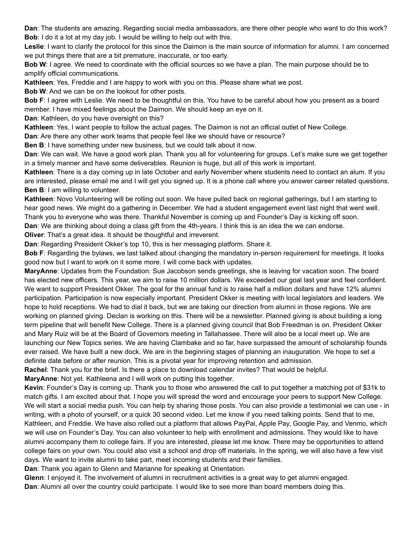**Dan**: The students are amazing. Regarding social media ambassadors, are there other people who want to do this work? **Bob**: I do it a lot at my day job. I would be willing to help out with this.

**Leslie**: I want to clarify the protocol for this since the Daimon is the main source of information for alumni. I am concerned we put things there that are a bit premature, inaccurate, or too early.

**Bob W**: I agree. We need to coordinate with the official sources so we have a plan. The main purpose should be to amplify official communications.

**Kathleen**: Yes, Freddie and I are happy to work with you on this. Please share what we post.

**Bob W**: And we can be on the lookout for other posts.

**Bob F**: I agree with Leslie. We need to be thoughtful on this. You have to be careful about how you present as a board member. I have mixed feelings about the Daimon. We should keep an eye on it.

**Dan**: Kathleen, do you have oversight on this?

**Kathleen**: Yes, I want people to follow the actual pages. The Daimon is not an official outlet of New College.

**Dan**: Are there any other work teams that people feel like we should have or resource?

**Ben B**: I have something under new business, but we could talk about it now.

**Dan**: We can wait. We have a good work plan. Thank you all for volunteering for groups. Let's make sure we get together in a timely manner and have some deliverables. Reunion is huge, but all of this work is important.

**Kathleen**: There is a day coming up in late October and early November where students need to contact an alum. If you are interested, please email me and I will get you signed up. It is a phone call where you answer career related questions. **Ben B**: I am willing to volunteer.

**Kathleen**: Novo Volunteering will be rolling out soon. We have pulled back on regional gatherings, but I am starting to hear good news. We might do a gathering in December. We had a student engagement event last night that went well.

Thank you to everyone who was there. Thankful November is coming up and Founder's Day is kicking off soon.

**Dan**: We are thinking about doing a class gift from the 4th-years. I think this is an idea the we can endorse.

**Oliver:** That's a great idea. It should be thoughtful and irreverent.

**Dan**: Regarding President Okker's top 10, this is her messaging platform. Share it.

**Bob F**: Regarding the bylaws, we last talked about changing the mandatory in-person requirement for meetings. It looks good now but I want to work on it some more. I will come back with updates.

**MaryAnne**: Updates from the Foundation: Sue Jacobson sends greetings, she is leaving for vacation soon. The board has elected new officers. This year, we aim to raise 10 million dollars. We exceeded our goal last year and feel confident. We want to support President Okker. The goal for the annual fund is to raise half a million dollars and have 12% alumni participation. Participation is now especially important. President Okker is meeting with local legislators and leaders. We hope to hold receptions. We had to dial it back, but we are taking our direction from alumni in those regions. We are working on planned giving. Declan is working on this. There will be a newsletter. Planned giving is about building a long term pipeline that will benefit New College. There is a planned giving council that Bob Freedman is on. President Okker and Mary Ruiz will be at the Board of Governors meeting in Tallahassee. There will also be a local meet up. We are launching our New Topics series. We are having Clambake and so far, have surpassed the amount of scholarship founds ever raised. We have built a new dock. We are in the beginning stages of planning an inauguration. We hope to set a definite date before or after reunion. This is a pivotal year for improving retention and admission.

**Rachel**: Thank you for the brief. Is there a place to download calendar invites? That would be helpful.

**MaryAnne**: Not yet. Kathleena and I will work on putting this together.

**Kevin**: Founder's Day is coming up. Thank you to those who answered the call to put together a matching pot of \$31k to match gifts. I am excited about that. I hope you will spread the word and encourage your peers to support New College. We will start a social media push. You can help by sharing those posts. You can also provide a testimonial we can use - in writing, with a photo of yourself, or a quick 30 second video. Let me know if you need talking points. Send that to me, Kathleen, and Freddie. We have also rolled out a platform that allows PayPal, Apple Pay, Google Pay, and Venmo, which we will use on Founder's Day. You can also volunteer to help with enrollment and admissions. They would like to have alumni accompany them to college fairs. If you are interested, please let me know. There may be opportunities to attend college fairs on your own. You could also visit a school and drop off materials. In the spring, we will also have a few visit days. We want to invite alumni to take part, meet incoming students and their families.

**Dan**: Thank you again to Glenn and Marianne for speaking at Orientation.

**Glenn**: I enjoyed it. The involvement of alumni in recruitment activities is a great way to get alumni engaged. **Dan**: Alumni all over the country could participate. I would like to see more than board members doing this.